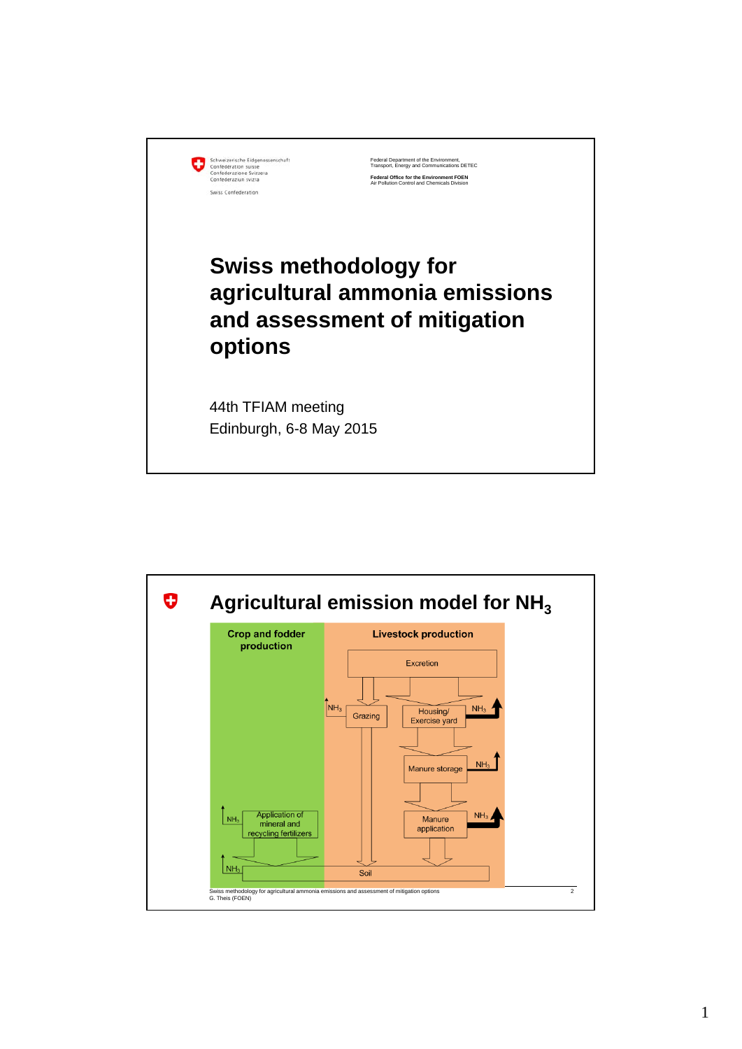|  | Schweizerische Eidgenossenschaft |
|--|----------------------------------|
|  | Confédération suisse             |
|  | Confederazione Svizzera          |
|  | Confederaziun svizra             |
|  | Swiss Confederation              |

Federal Department of the Environment, Transport, Energy and Communications DETEC **Federal Office for the Environment FOEN** Air Pollution Control and Chemicals Division

## **Swiss methodology for agricultural ammonia emissions and assessment of mitigation options**

44th TFIAM meeting Edinburgh, 6-8 May 2015

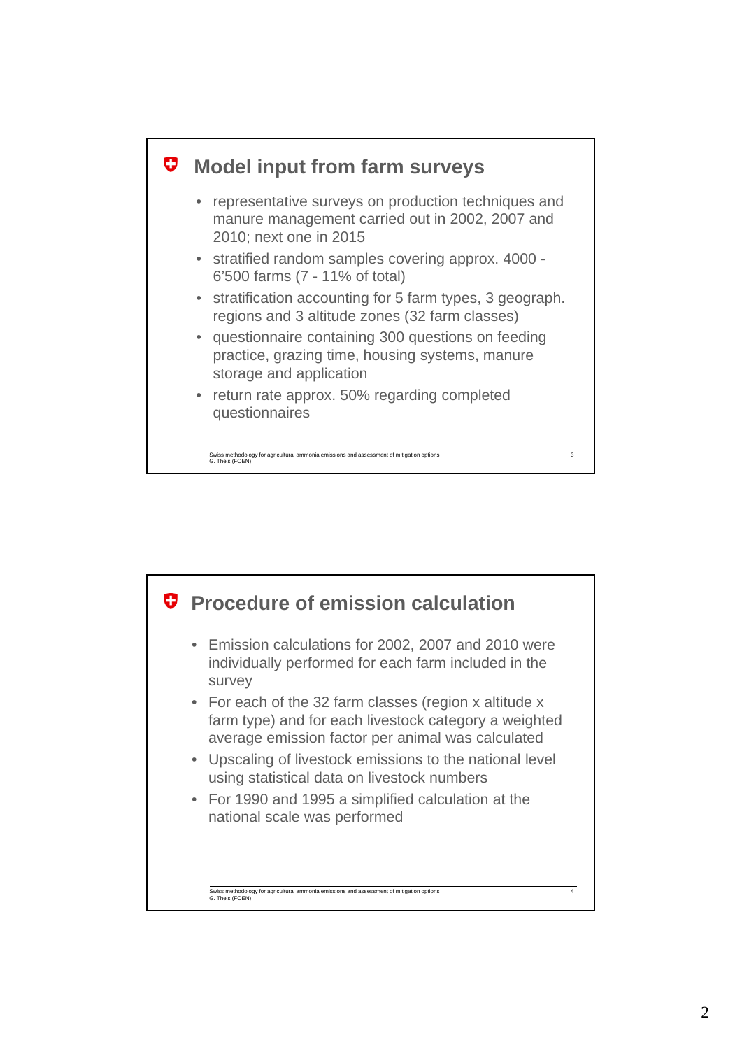

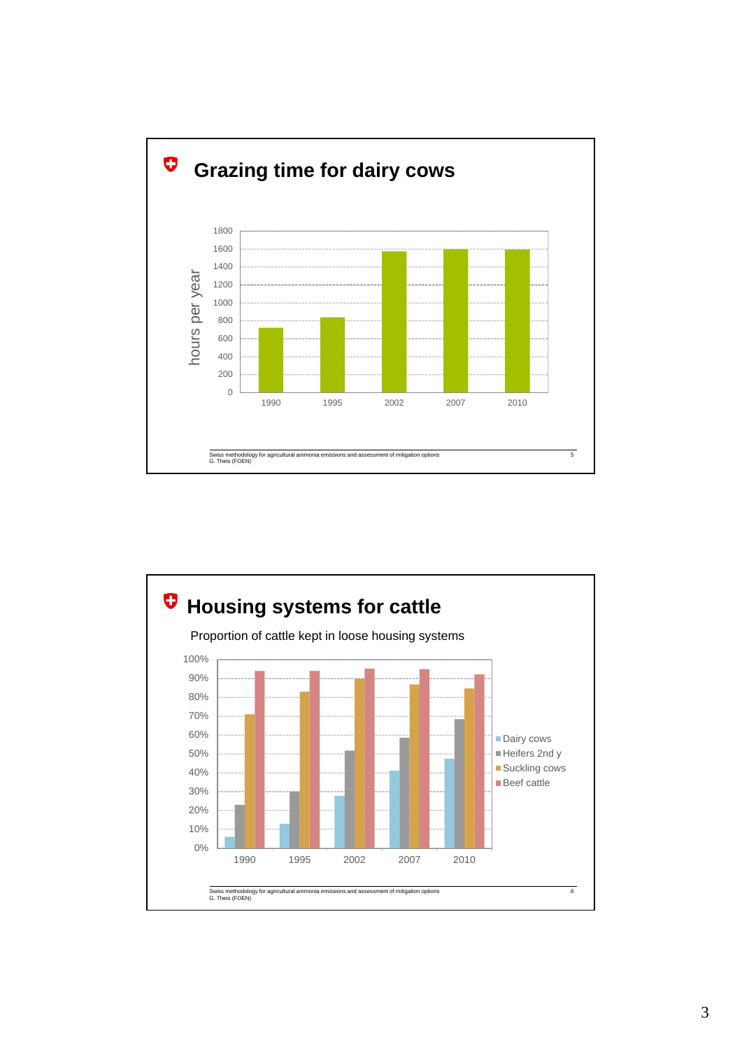

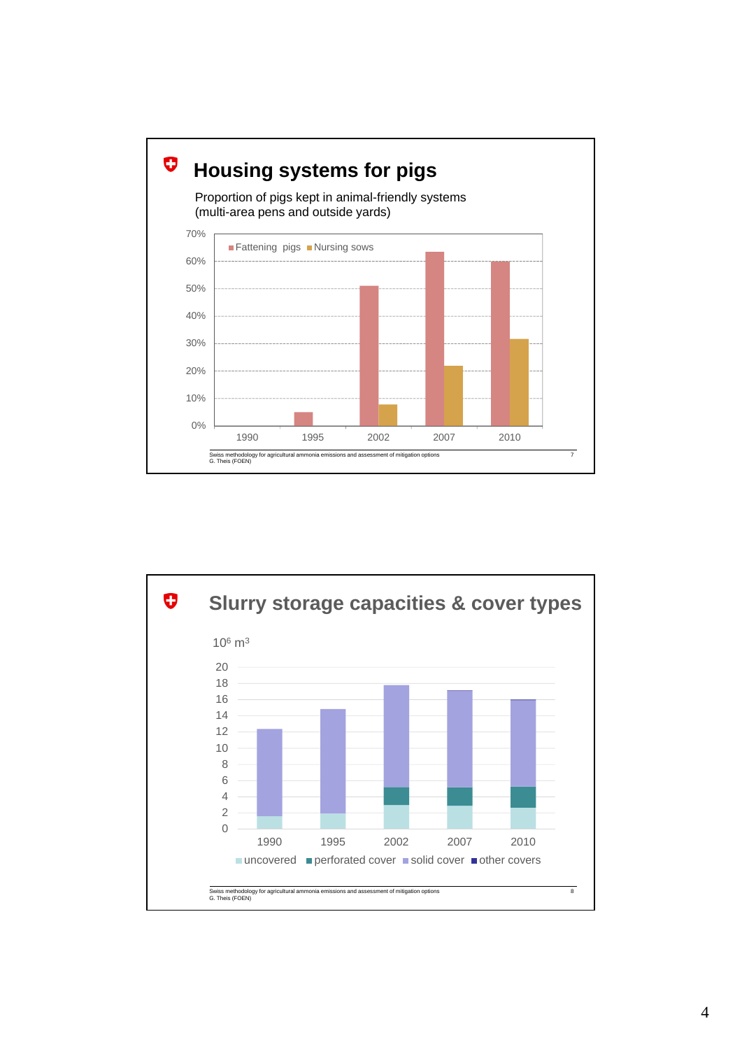

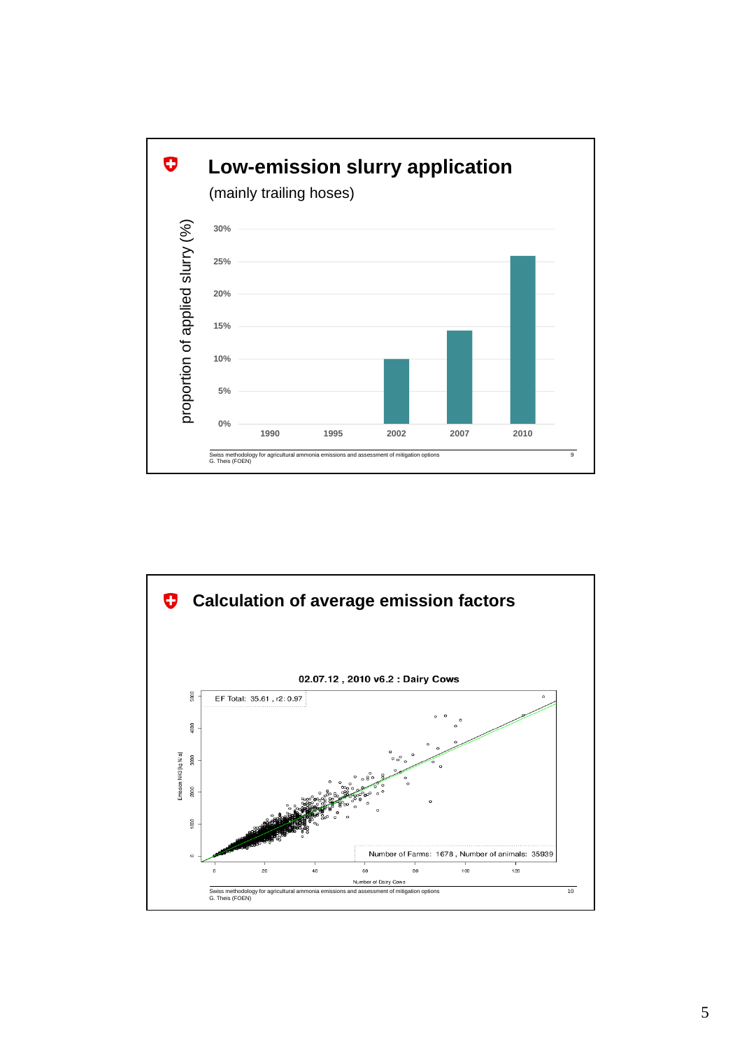

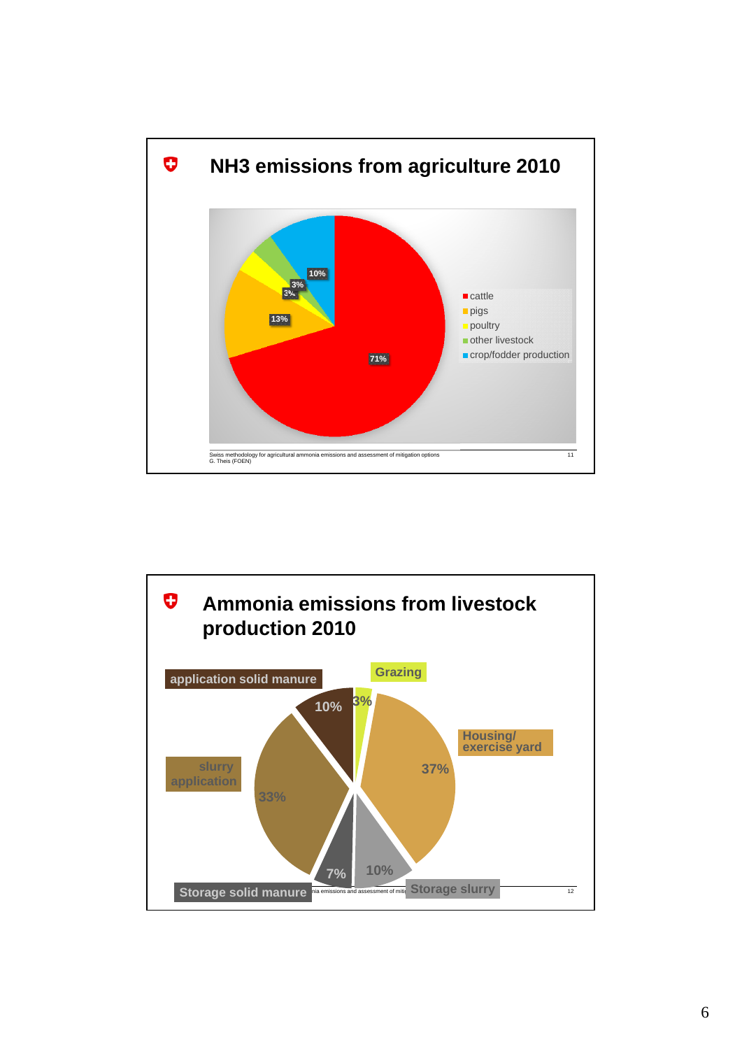

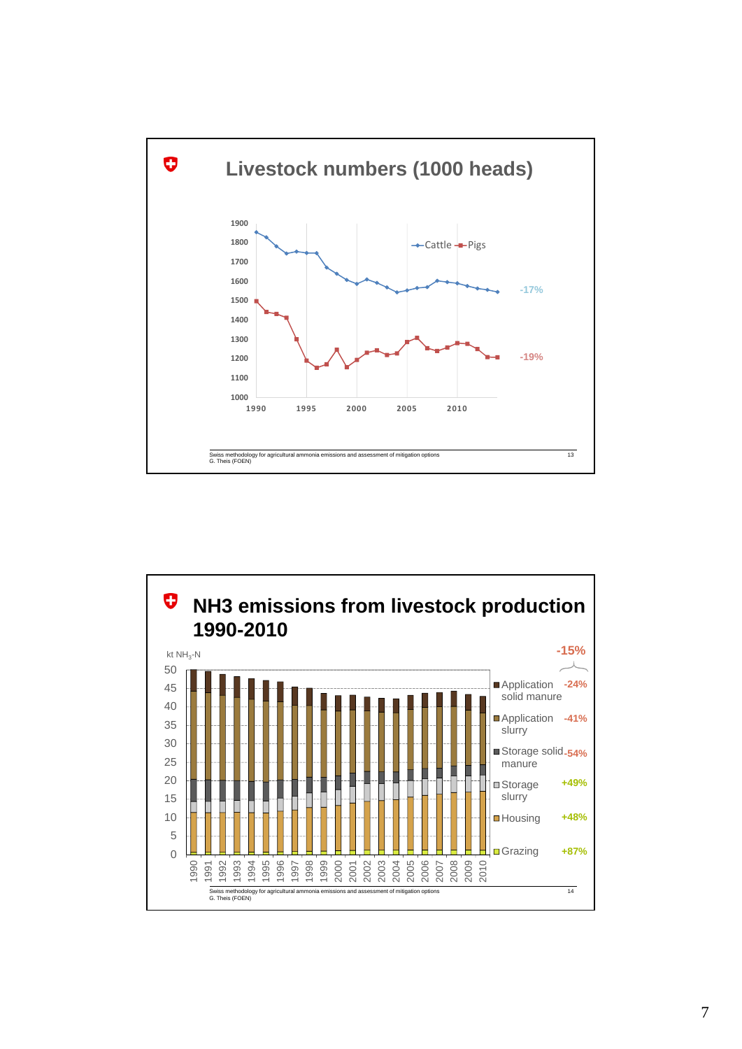

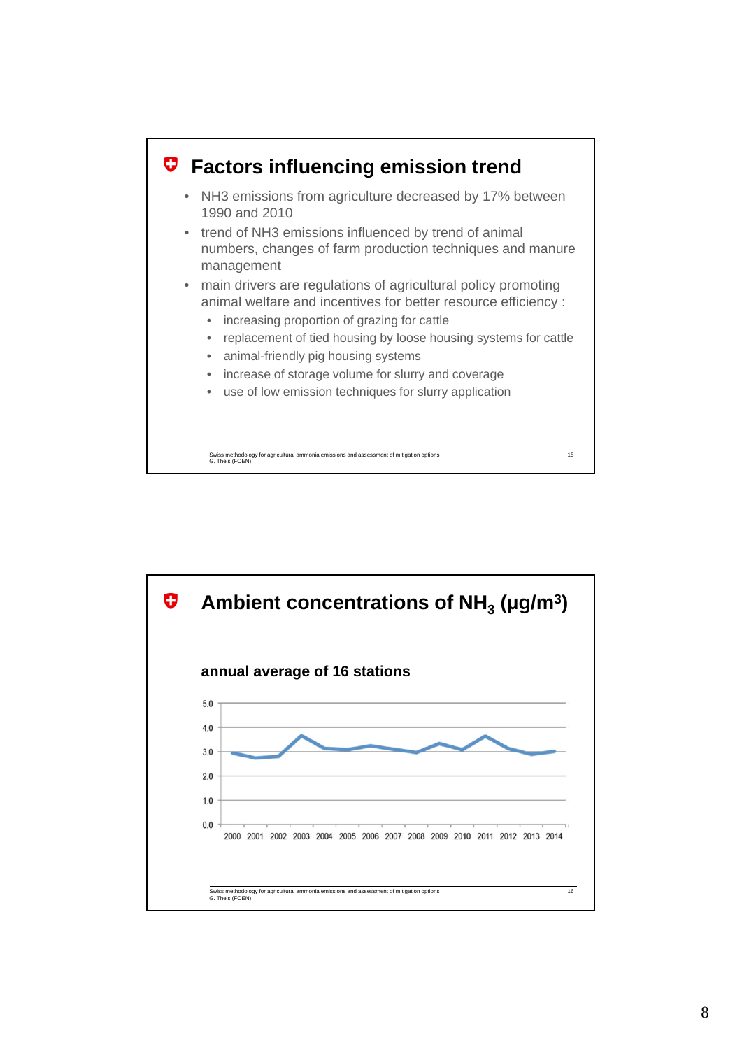

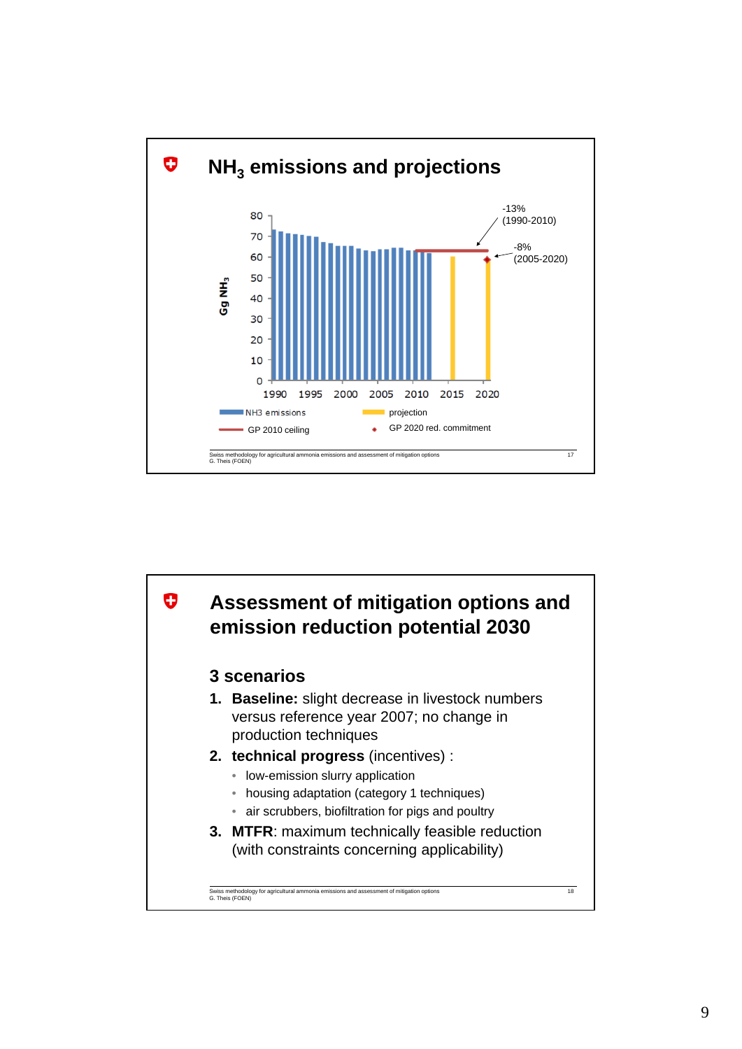